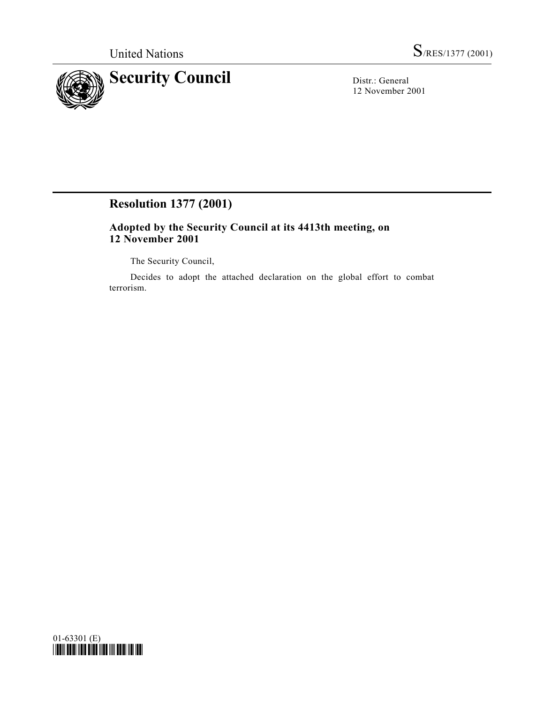

12 November 2001

## **Resolution 1377 (2001)**

## **Adopted by the Security Council at its 4413th meeting, on 12 November 2001**

The Security Council,

Decides to adopt the attached declaration on the global effort to combat terrorism.

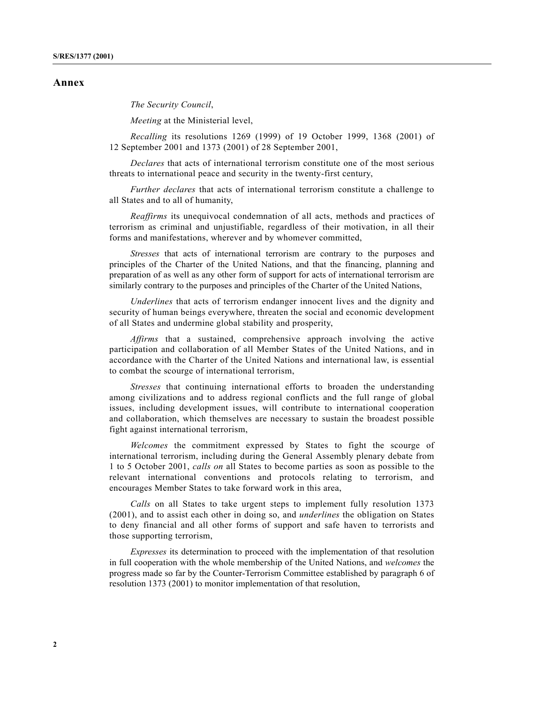## **Annex**

*The Security Council*,

*Meeting* at the Ministerial level,

*Recalling* its resolutions 1269 (1999) of 19 October 1999, 1368 (2001) of 12 September 2001 and 1373 (2001) of 28 September 2001,

*Declares* that acts of international terrorism constitute one of the most serious threats to international peace and security in the twenty-first century,

*Further declares* that acts of international terrorism constitute a challenge to all States and to all of humanity,

*Reaffirms* its unequivocal condemnation of all acts, methods and practices of terrorism as criminal and unjustifiable, regardless of their motivation, in all their forms and manifestations, wherever and by whomever committed,

*Stresses* that acts of international terrorism are contrary to the purposes and principles of the Charter of the United Nations, and that the financing, planning and preparation of as well as any other form of support for acts of international terrorism are similarly contrary to the purposes and principles of the Charter of the United Nations,

*Underlines* that acts of terrorism endanger innocent lives and the dignity and security of human beings everywhere, threaten the social and economic development of all States and undermine global stability and prosperity,

*Affirms* that a sustained, comprehensive approach involving the active participation and collaboration of all Member States of the United Nations, and in accordance with the Charter of the United Nations and international law, is essential to combat the scourge of international terrorism,

*Stresses* that continuing international efforts to broaden the understanding among civilizations and to address regional conflicts and the full range of global issues, including development issues, will contribute to international cooperation and collaboration, which themselves are necessary to sustain the broadest possible fight against international terrorism,

*Welcomes* the commitment expressed by States to fight the scourge of international terrorism, including during the General Assembly plenary debate from 1 to 5 October 2001, *calls on* all States to become parties as soon as possible to the relevant international conventions and protocols relating to terrorism, and encourages Member States to take forward work in this area,

*Calls* on all States to take urgent steps to implement fully resolution 1373 (2001), and to assist each other in doing so, and *underlines* the obligation on States to deny financial and all other forms of support and safe haven to terrorists and those supporting terrorism,

*Expresses* its determination to proceed with the implementation of that resolution in full cooperation with the whole membership of the United Nations, and *welcomes* the progress made so far by the Counter-Terrorism Committee established by paragraph 6 of resolution 1373 (2001) to monitor implementation of that resolution,